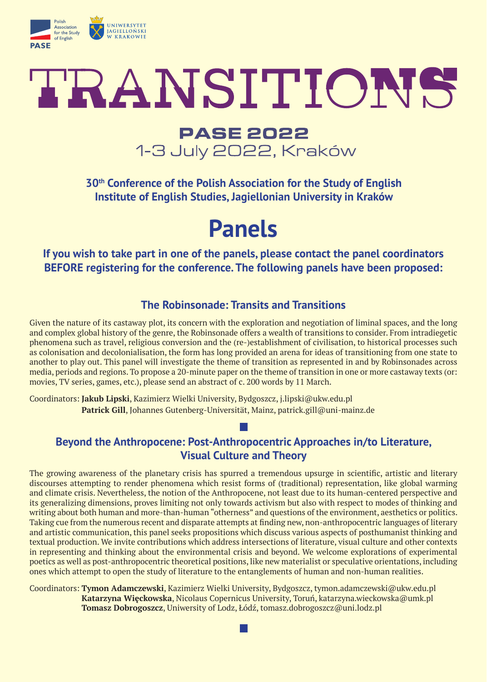

# TRANSITIONS

## **PASE 2022** 1-3 July 2022, Kraków

**30th Conference of the Polish Association for the Study of English Institute of English Studies, Jagiellonian University in Kraków**

**Panels**

**If you wish to take part in one of the panels, please contact the panel coordinators BEFORE registering for the conference. The following panels have been proposed:**

## **The Robinsonade: Transits and Transitions**

Given the nature of its castaway plot, its concern with the exploration and negotiation of liminal spaces, and the long and complex global history of the genre, the Robinsonade offers a wealth of transitions to consider. From intradiegetic phenomena such as travel, religious conversion and the (re-)establishment of civilisation, to historical processes such as colonisation and decolonialisation, the form has long provided an arena for ideas of transitioning from one state to another to play out. This panel will investigate the theme of transition as represented in and by Robinsonades across media, periods and regions. To propose a 20-minute paper on the theme of transition in one or more castaway texts (or: movies, TV series, games, etc.), please send an abstract of c. 200 words by 11 March.

Coordinators: **Jakub Lipski**, Kazimierz Wielki University, Bydgoszcz, j.lipski@ukw.edu.pl **Patrick Gill**, Johannes Gutenberg-Universität, Mainz, patrick.gill@uni-mainz.de

## **Beyond the Anthropocene: Post-Anthropocentric Approaches in/to Literature, Visual Culture and Theory**

The growing awareness of the planetary crisis has spurred a tremendous upsurge in scientific, artistic and literary discourses attempting to render phenomena which resist forms of (traditional) representation, like global warming and climate crisis. Nevertheless, the notion of the Anthropocene, not least due to its human-centered perspective and its generalizing dimensions, proves limiting not only towards activism but also with respect to modes of thinking and writing about both human and more-than-human "otherness" and questions of the environment, aesthetics or politics. Taking cue from the numerous recent and disparate attempts at finding new, non-anthropocentric languages of literary and artistic communication, this panel seeks propositions which discuss various aspects of posthumanist thinking and textual production. We invite contributions which address intersections of literature, visual culture and other contexts in representing and thinking about the environmental crisis and beyond. We welcome explorations of experimental poetics as well as post-anthropocentric theoretical positions, like new materialist or speculative orientations, including ones which attempt to open the study of literature to the entanglements of human and non-human realities.

Coordinators: **Tymon Adamczewski**, Kazimierz Wielki University, Bydgoszcz, tymon.adamczewski@ukw.edu.pl **Katarzyna Więckowska**, Nicolaus Copernicus University, Toruń, katarzyna.wieckowska@umk.pl **Tomasz Dobrogoszcz**, Uniwersity of Lodz, Łódź, tomasz.dobrogoszcz@uni.lodz.pl